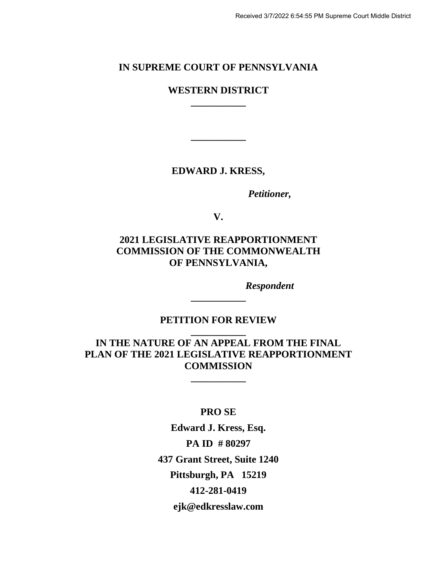# **IN SUPREME COURT OF PENNSYLVANIA**

## **WESTERN DISTRICT \_\_\_\_\_\_\_\_\_\_\_**

**EDWARD J. KRESS,** 

**\_\_\_\_\_\_\_\_\_\_\_**

*Petitioner,*

**V.**

# **2021 LEGISLATIVE REAPPORTIONMENT COMMISSION OF THE COMMONWEALTH OF PENNSYLVANIA,**

*Respondent*

**PETITION FOR REVIEW \_\_\_\_\_\_\_\_\_\_\_**

**\_\_\_\_\_\_\_\_\_\_\_**

**IN THE NATURE OF AN APPEAL FROM THE FINAL PLAN OF THE 2021 LEGISLATIVE REAPPORTIONMENT COMMISSION**

**\_\_\_\_\_\_\_\_\_\_\_**

**PRO SE**

**Edward J. Kress, Esq. PA ID # 80297 437 Grant Street, Suite 1240 Pittsburgh, PA 15219 412-281-0419 ejk@edkresslaw.com**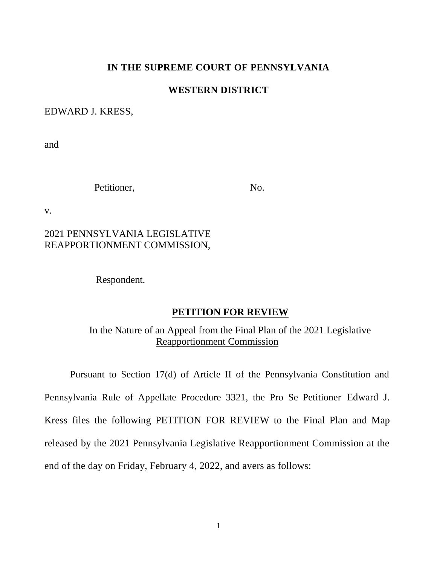### **IN THE SUPREME COURT OF PENNSYLVANIA**

### **WESTERN DISTRICT**

### EDWARD J. KRESS,

and

Petitioner, No.

v.

## 2021 PENNSYLVANIA LEGISLATIVE REAPPORTIONMENT COMMISSION,

Respondent.

#### **PETITION FOR REVIEW**

In the Nature of an Appeal from the Final Plan of the 2021 Legislative Reapportionment Commission

Pursuant to Section 17(d) of Article II of the Pennsylvania Constitution and Pennsylvania Rule of Appellate Procedure 3321, the Pro Se Petitioner Edward J. Kress files the following PETITION FOR REVIEW to the Final Plan and Map released by the 2021 Pennsylvania Legislative Reapportionment Commission at the end of the day on Friday, February 4, 2022, and avers as follows: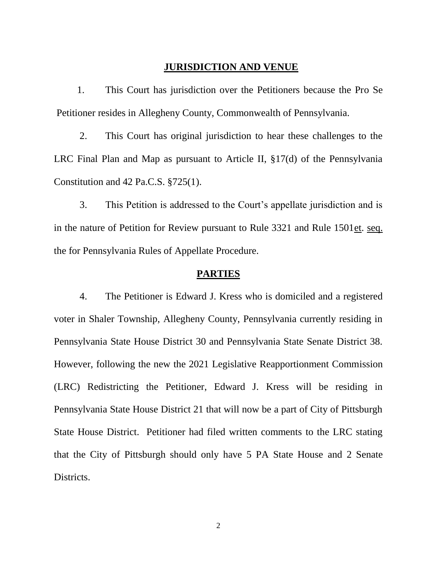### **JURISDICTION AND VENUE**

1. This Court has jurisdiction over the Petitioners because the Pro Se Petitioner resides in Allegheny County, Commonwealth of Pennsylvania.

2. This Court has original jurisdiction to hear these challenges to the LRC Final Plan and Map as pursuant to Article II, §17(d) of the Pennsylvania Constitution and 42 Pa.C.S. §725(1).

3. This Petition is addressed to the Court's appellate jurisdiction and is in the nature of Petition for Review pursuant to Rule 3321 and Rule 1501et. seq. the for Pennsylvania Rules of Appellate Procedure.

### **PARTIES**

4. The Petitioner is Edward J. Kress who is domiciled and a registered voter in Shaler Township, Allegheny County, Pennsylvania currently residing in Pennsylvania State House District 30 and Pennsylvania State Senate District 38. However, following the new the 2021 Legislative Reapportionment Commission (LRC) Redistricting the Petitioner, Edward J. Kress will be residing in Pennsylvania State House District 21 that will now be a part of City of Pittsburgh State House District. Petitioner had filed written comments to the LRC stating that the City of Pittsburgh should only have 5 PA State House and 2 Senate Districts.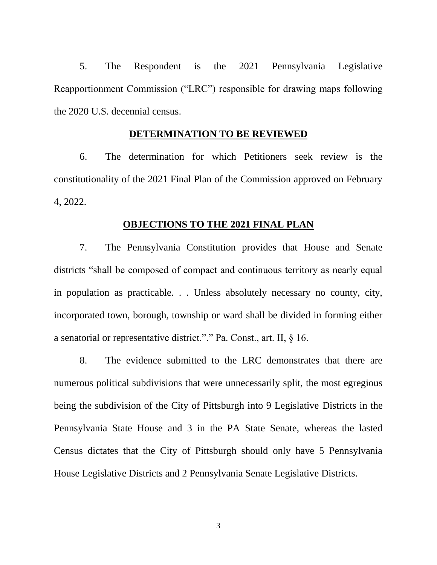5. The Respondent is the 2021 Pennsylvania Legislative Reapportionment Commission ("LRC") responsible for drawing maps following the 2020 U.S. decennial census.

### **DETERMINATION TO BE REVIEWED**

6. The determination for which Petitioners seek review is the constitutionality of the 2021 Final Plan of the Commission approved on February 4, 2022.

### **OBJECTIONS TO THE 2021 FINAL PLAN**

7. The Pennsylvania Constitution provides that House and Senate districts "shall be composed of compact and continuous territory as nearly equal in population as practicable. . . Unless absolutely necessary no county, city, incorporated town, borough, township or ward shall be divided in forming either a senatorial or representative district."." Pa. Const., art. II, § 16.

8. The evidence submitted to the LRC demonstrates that there are numerous political subdivisions that were unnecessarily split, the most egregious being the subdivision of the City of Pittsburgh into 9 Legislative Districts in the Pennsylvania State House and 3 in the PA State Senate, whereas the lasted Census dictates that the City of Pittsburgh should only have 5 Pennsylvania House Legislative Districts and 2 Pennsylvania Senate Legislative Districts.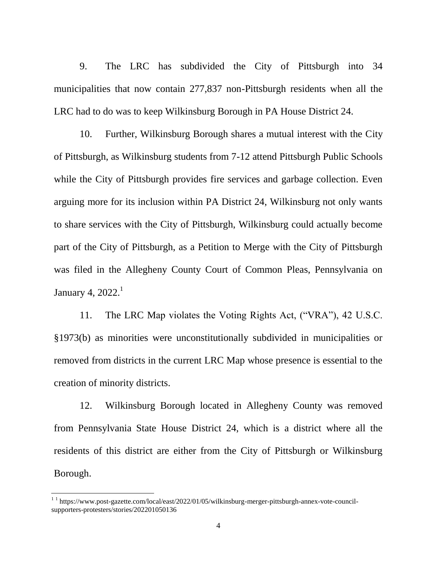9. The LRC has subdivided the City of Pittsburgh into 34 municipalities that now contain 277,837 non-Pittsburgh residents when all the LRC had to do was to keep Wilkinsburg Borough in PA House District 24.

10. Further, Wilkinsburg Borough shares a mutual interest with the City of Pittsburgh, as Wilkinsburg students from 7-12 attend Pittsburgh Public Schools while the City of Pittsburgh provides fire services and garbage collection. Even arguing more for its inclusion within PA District 24, Wilkinsburg not only wants to share services with the City of Pittsburgh, Wilkinsburg could actually become part of the City of Pittsburgh, as a Petition to Merge with the City of Pittsburgh was filed in the Allegheny County Court of Common Pleas, Pennsylvania on January 4,  $2022<sup>1</sup>$ 

11. The LRC Map violates the Voting Rights Act, ("VRA"), 42 U.S.C. §1973(b) as minorities were unconstitutionally subdivided in municipalities or removed from districts in the current LRC Map whose presence is essential to the creation of minority districts.

12. Wilkinsburg Borough located in Allegheny County was removed from Pennsylvania State House District 24, which is a district where all the residents of this district are either from the City of Pittsburgh or Wilkinsburg Borough.

 $\overline{\phantom{a}}$ 

 $11$  https://www.post-gazette.com/local/east/2022/01/05/wilkinsburg-merger-pittsburgh-annex-vote-councilsupporters-protesters/stories/202201050136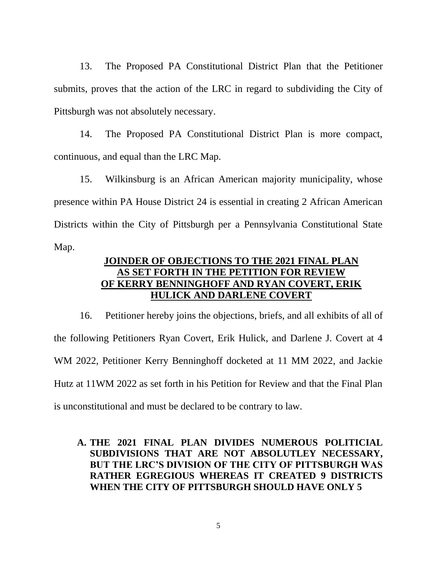13. The Proposed PA Constitutional District Plan that the Petitioner submits, proves that the action of the LRC in regard to subdividing the City of Pittsburgh was not absolutely necessary.

14. The Proposed PA Constitutional District Plan is more compact, continuous, and equal than the LRC Map.

15. Wilkinsburg is an African American majority municipality, whose presence within PA House District 24 is essential in creating 2 African American Districts within the City of Pittsburgh per a Pennsylvania Constitutional State Map.

# **JOINDER OF OBJECTIONS TO THE 2021 FINAL PLAN AS SET FORTH IN THE PETITION FOR REVIEW OF KERRY BENNINGHOFF AND RYAN COVERT, ERIK HULICK AND DARLENE COVERT**

16. Petitioner hereby joins the objections, briefs, and all exhibits of all of the following Petitioners Ryan Covert, Erik Hulick, and Darlene J. Covert at 4 WM 2022, Petitioner Kerry Benninghoff docketed at 11 MM 2022, and Jackie Hutz at 11WM 2022 as set forth in his Petition for Review and that the Final Plan is unconstitutional and must be declared to be contrary to law.

## **A. THE 2021 FINAL PLAN DIVIDES NUMEROUS POLITICIAL SUBDIVISIONS THAT ARE NOT ABSOLUTLEY NECESSARY, BUT THE LRC'S DIVISION OF THE CITY OF PITTSBURGH WAS RATHER EGREGIOUS WHEREAS IT CREATED 9 DISTRICTS WHEN THE CITY OF PITTSBURGH SHOULD HAVE ONLY 5**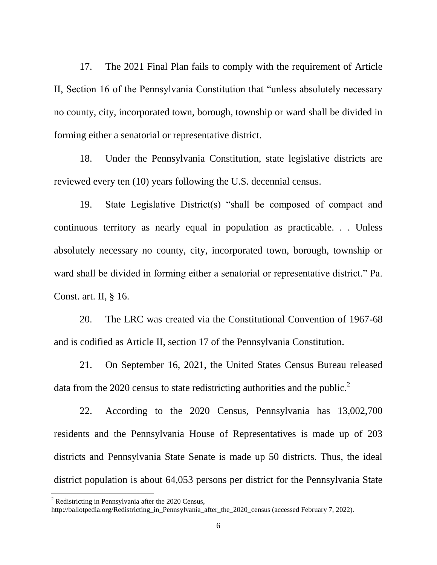17. The 2021 Final Plan fails to comply with the requirement of Article II, Section 16 of the Pennsylvania Constitution that "unless absolutely necessary no county, city, incorporated town, borough, township or ward shall be divided in forming either a senatorial or representative district.

18. Under the Pennsylvania Constitution, state legislative districts are reviewed every ten (10) years following the U.S. decennial census.

19. State Legislative District(s) "shall be composed of compact and continuous territory as nearly equal in population as practicable. . . Unless absolutely necessary no county, city, incorporated town, borough, township or ward shall be divided in forming either a senatorial or representative district." Pa. Const. art. II, § 16.

20. The LRC was created via the Constitutional Convention of 1967-68 and is codified as Article II, section 17 of the Pennsylvania Constitution.

21. On September 16, 2021, the United States Census Bureau released data from the 2020 census to state redistricting authorities and the public.<sup>2</sup>

22. According to the 2020 Census, Pennsylvania has 13,002,700 residents and the Pennsylvania House of Representatives is made up of 203 districts and Pennsylvania State Senate is made up 50 districts. Thus, the ideal district population is about 64,053 persons per district for the Pennsylvania State

 $\overline{\phantom{a}}$ 

 $2$  Redistricting in Pennsylvania after the 2020 Census,

http://ballotpedia.org/Redistricting\_in\_Pennsylvania\_after\_the\_2020\_census (accessed February 7, 2022).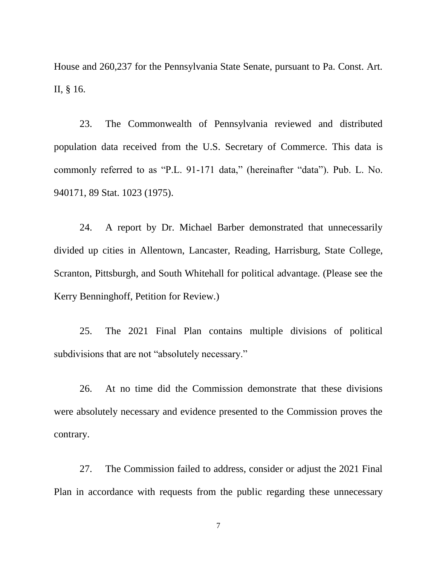House and 260,237 for the Pennsylvania State Senate, pursuant to Pa. Const. Art. II, § 16.

23. The Commonwealth of Pennsylvania reviewed and distributed population data received from the U.S. Secretary of Commerce. This data is commonly referred to as "P.L. 91-171 data," (hereinafter "data"). Pub. L. No. 940171, 89 Stat. 1023 (1975).

24. A report by Dr. Michael Barber demonstrated that unnecessarily divided up cities in Allentown, Lancaster, Reading, Harrisburg, State College, Scranton, Pittsburgh, and South Whitehall for political advantage. (Please see the Kerry Benninghoff, Petition for Review.)

25. The 2021 Final Plan contains multiple divisions of political subdivisions that are not "absolutely necessary."

26. At no time did the Commission demonstrate that these divisions were absolutely necessary and evidence presented to the Commission proves the contrary.

27. The Commission failed to address, consider or adjust the 2021 Final Plan in accordance with requests from the public regarding these unnecessary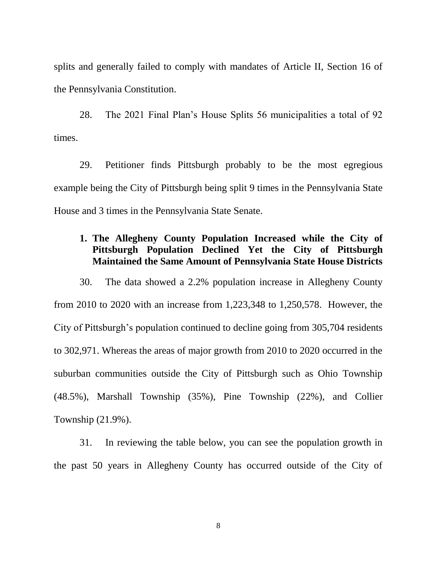splits and generally failed to comply with mandates of Article II, Section 16 of the Pennsylvania Constitution.

28. The 2021 Final Plan's House Splits 56 municipalities a total of 92 times.

29. Petitioner finds Pittsburgh probably to be the most egregious example being the City of Pittsburgh being split 9 times in the Pennsylvania State House and 3 times in the Pennsylvania State Senate.

## **1. The Allegheny County Population Increased while the City of Pittsburgh Population Declined Yet the City of Pittsburgh Maintained the Same Amount of Pennsylvania State House Districts**

30. The data showed a 2.2% population increase in Allegheny County from 2010 to 2020 with an increase from 1,223,348 to 1,250,578. However, the City of Pittsburgh's population continued to decline going from 305,704 residents to 302,971. Whereas the areas of major growth from 2010 to 2020 occurred in the suburban communities outside the City of Pittsburgh such as Ohio Township (48.5%), Marshall Township (35%), Pine Township (22%), and Collier Township (21.9%).

31. In reviewing the table below, you can see the population growth in the past 50 years in Allegheny County has occurred outside of the City of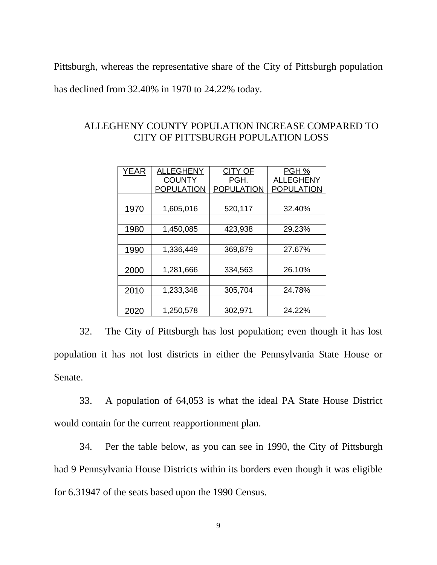Pittsburgh, whereas the representative share of the City of Pittsburgh population

has declined from 32.40% in 1970 to 24.22% today.

| YEAR | <b>ALLEGHENY</b>  | <b>CITY OF</b>    | PGH %             |
|------|-------------------|-------------------|-------------------|
|      | <b>COUNTY</b>     | PGH.              | <b>ALLEGHENY</b>  |
|      | <b>POPULATION</b> | <b>POPULATION</b> | <b>POPULATION</b> |
|      |                   |                   |                   |
| 1970 | 1,605,016         | 520,117           | 32.40%            |
|      |                   |                   |                   |
| 1980 | 1,450,085         | 423,938           | 29.23%            |
|      |                   |                   |                   |
| 1990 | 1,336,449         | 369,879           | 27.67%            |
|      |                   |                   |                   |
| 2000 | 1,281,666         | 334,563           | 26.10%            |
|      |                   |                   |                   |
| 2010 | 1,233,348         | 305,704           | 24.78%            |
|      |                   |                   |                   |
| 2020 | 1,250,578         | 302,971           | 24.22%            |

## ALLEGHENY COUNTY POPULATION INCREASE COMPARED TO CITY OF PITTSBURGH POPULATION LOSS

32. The City of Pittsburgh has lost population; even though it has lost population it has not lost districts in either the Pennsylvania State House or Senate.

33. A population of 64,053 is what the ideal PA State House District would contain for the current reapportionment plan.

34. Per the table below, as you can see in 1990, the City of Pittsburgh had 9 Pennsylvania House Districts within its borders even though it was eligible for 6.31947 of the seats based upon the 1990 Census.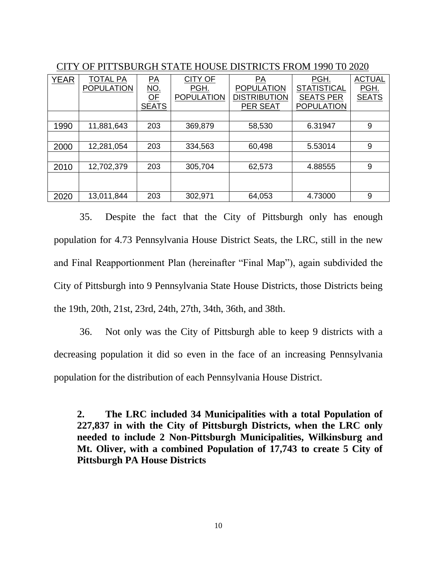| <b>YEAR</b> | <b>TOTAL PA</b>   | PA           | <b>CITY OF</b>    | PA                  | PGH.               | <b>ACTUAL</b> |
|-------------|-------------------|--------------|-------------------|---------------------|--------------------|---------------|
|             | <b>POPULATION</b> | <u>NO.</u>   | PGH.              | <b>POPULATION</b>   | <b>STATISTICAL</b> | PGH.          |
|             |                   | OF           | <b>POPULATION</b> | <b>DISTRIBUTION</b> | <b>SEATS PER</b>   | <b>SEATS</b>  |
|             |                   | <b>SEATS</b> |                   | PER SEAT            | <b>POPULATION</b>  |               |
|             |                   |              |                   |                     |                    |               |
| 1990        | 11,881,643        | 203          | 369,879           | 58,530              | 6.31947            | 9             |
|             |                   |              |                   |                     |                    |               |
| 2000        | 12,281,054        | 203          | 334,563           | 60,498              | 5.53014            | 9             |
|             |                   |              |                   |                     |                    |               |
| 2010        | 12,702,379        | 203          | 305,704           | 62,573              | 4.88555            | 9             |
|             |                   |              |                   |                     |                    |               |
|             |                   |              |                   |                     |                    |               |
| 2020        | 13,011,844        | 203          | 302,971           | 64,053              | 4.73000            | 9             |

CITY OF PITTSBURGH STATE HOUSE DISTRICTS FROM 1990 T0 2020

35. Despite the fact that the City of Pittsburgh only has enough population for 4.73 Pennsylvania House District Seats, the LRC, still in the new and Final Reapportionment Plan (hereinafter "Final Map"), again subdivided the City of Pittsburgh into 9 Pennsylvania State House Districts, those Districts being the 19th, 20th, 21st, 23rd, 24th, 27th, 34th, 36th, and 38th.

36. Not only was the City of Pittsburgh able to keep 9 districts with a decreasing population it did so even in the face of an increasing Pennsylvania population for the distribution of each Pennsylvania House District.

**2. The LRC included 34 Municipalities with a total Population of 227,837 in with the City of Pittsburgh Districts, when the LRC only needed to include 2 Non-Pittsburgh Municipalities, Wilkinsburg and Mt. Oliver, with a combined Population of 17,743 to create 5 City of Pittsburgh PA House Districts**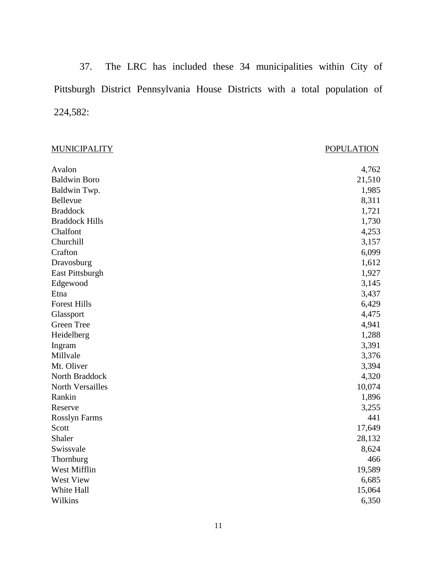37. The LRC has included these 34 municipalities within City of Pittsburgh District Pennsylvania House Districts with a total population of 224,582:

| <b>MUNICIPALITY</b>   | <b>POPULATION</b> |
|-----------------------|-------------------|
| Avalon                | 4,762             |
| <b>Baldwin Boro</b>   | 21,510            |
| Baldwin Twp.          | 1,985             |
| Bellevue              | 8,311             |
| <b>Braddock</b>       | 1,721             |
| <b>Braddock Hills</b> | 1,730             |
| Chalfont              | 4,253             |
| Churchill             | 3,157             |
| Crafton               | 6,099             |
| Dravosburg            | 1,612             |
| East Pittsburgh       | 1,927             |
| Edgewood              | 3,145             |
| Etna                  | 3,437             |
| <b>Forest Hills</b>   | 6,429             |
| Glassport             | 4,475             |
| Green Tree            | 4,941             |
| Heidelberg            | 1,288             |
| Ingram                | 3,391             |
| Millvale              | 3,376             |
| Mt. Oliver            | 3,394             |
| North Braddock        | 4,320             |
| North Versailles      | 10,074            |
| Rankin                | 1,896             |
| Reserve               | 3,255             |
| <b>Rosslyn Farms</b>  | 441               |
| Scott                 | 17,649            |
| Shaler                | 28,132            |
| Swissvale             | 8,624             |
| Thornburg             | 466               |
| West Mifflin          | 19,589            |
| West View             | 6,685             |
| White Hall            | 15,064            |
| Wilkins               | 6,350             |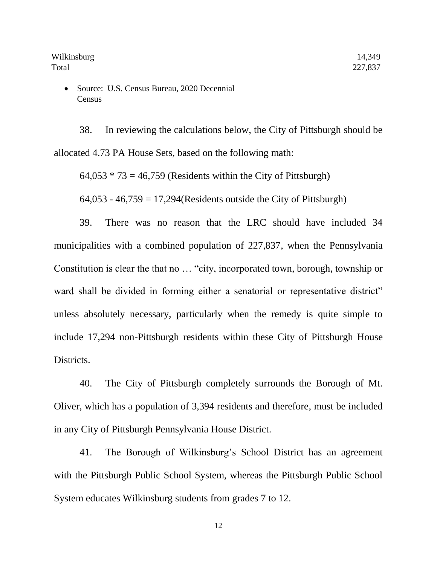Source: U.S. Census Bureau, 2020 Decennial **Census** 

38. In reviewing the calculations below, the City of Pittsburgh should be allocated 4.73 PA House Sets, based on the following math:

 $64,053 * 73 = 46,759$  (Residents within the City of Pittsburgh)

 $64,053 - 46,759 = 17,294$  (Residents outside the City of Pittsburgh)

39. There was no reason that the LRC should have included 34 municipalities with a combined population of 227,837, when the Pennsylvania Constitution is clear the that no … "city, incorporated town, borough, township or ward shall be divided in forming either a senatorial or representative district" unless absolutely necessary, particularly when the remedy is quite simple to include 17,294 non-Pittsburgh residents within these City of Pittsburgh House Districts.

40. The City of Pittsburgh completely surrounds the Borough of Mt. Oliver, which has a population of 3,394 residents and therefore, must be included in any City of Pittsburgh Pennsylvania House District.

41. The Borough of Wilkinsburg's School District has an agreement with the Pittsburgh Public School System, whereas the Pittsburgh Public School System educates Wilkinsburg students from grades 7 to 12.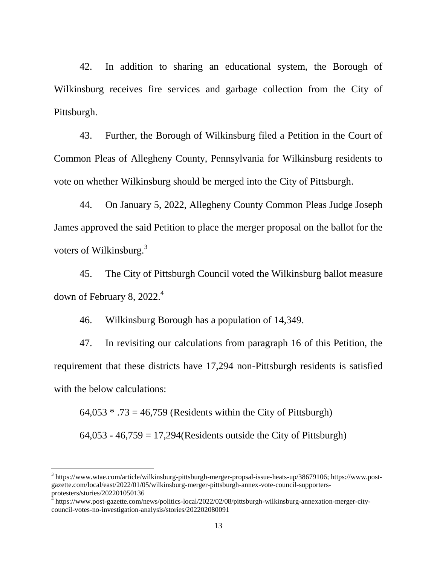42. In addition to sharing an educational system, the Borough of Wilkinsburg receives fire services and garbage collection from the City of Pittsburgh.

43. Further, the Borough of Wilkinsburg filed a Petition in the Court of Common Pleas of Allegheny County, Pennsylvania for Wilkinsburg residents to vote on whether Wilkinsburg should be merged into the City of Pittsburgh.

44. On January 5, 2022, Allegheny County Common Pleas Judge Joseph James approved the said Petition to place the merger proposal on the ballot for the voters of Wilkinsburg.<sup>3</sup>

45. The City of Pittsburgh Council voted the Wilkinsburg ballot measure down of February 8,  $2022.<sup>4</sup>$ 

46. Wilkinsburg Borough has a population of 14,349.

47. In revisiting our calculations from paragraph 16 of this Petition, the requirement that these districts have 17,294 non-Pittsburgh residents is satisfied with the below calculations:

 $64,053 * .73 = 46,759$  (Residents within the City of Pittsburgh)  $64,053 - 46,759 = 17,294$  (Residents outside the City of Pittsburgh)

 $\overline{a}$ 

<sup>&</sup>lt;sup>3</sup> https://www.wtae.com/article/wilkinsburg-pittsburgh-merger-propsal-issue-heats-up/38679106; https://www.postgazette.com/local/east/2022/01/05/wilkinsburg-merger-pittsburgh-annex-vote-council-supportersprotesters/stories/202201050136<br><sup>4</sup> https://www.post-gazette.com/news/politics-local/2022/02/08/pittsburgh-wilkinsburg-annexation-merger-city-

council-votes-no-investigation-analysis/stories/202202080091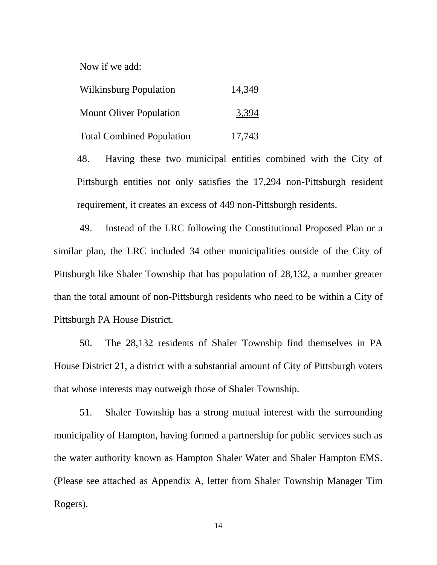Now if we add:

| <b>Wilkinsburg Population</b>    | 14,349 |
|----------------------------------|--------|
| <b>Mount Oliver Population</b>   | 3,394  |
| <b>Total Combined Population</b> | 17,743 |

48. Having these two municipal entities combined with the City of Pittsburgh entities not only satisfies the 17,294 non-Pittsburgh resident requirement, it creates an excess of 449 non-Pittsburgh residents.

49. Instead of the LRC following the Constitutional Proposed Plan or a similar plan, the LRC included 34 other municipalities outside of the City of Pittsburgh like Shaler Township that has population of 28,132, a number greater than the total amount of non-Pittsburgh residents who need to be within a City of Pittsburgh PA House District.

50. The 28,132 residents of Shaler Township find themselves in PA House District 21, a district with a substantial amount of City of Pittsburgh voters that whose interests may outweigh those of Shaler Township.

51. Shaler Township has a strong mutual interest with the surrounding municipality of Hampton, having formed a partnership for public services such as the water authority known as Hampton Shaler Water and Shaler Hampton EMS. (Please see attached as Appendix A, letter from Shaler Township Manager Tim Rogers).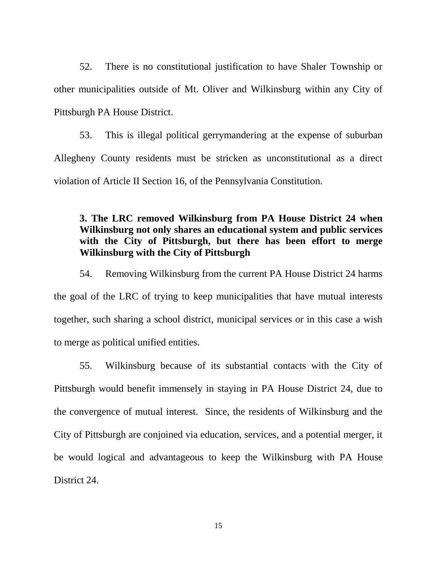52. There is no constitutional justification to have Shaler Township or other municipalities outside of Mt. Oliver and Wilkinsburg within any City of Pittsburgh PA House District.

53. This is illegal political gerrymandering at the expense of suburban Allegheny County residents must be stricken as unconstitutional as a direct violation of Article II Section 16, of the Pennsylvania Constitution.

# **3. The LRC removed Wilkinsburg from PA House District 24 when Wilkinsburg not only shares an educational system and public services with the City of Pittsburgh, but there has been effort to merge Wilkinsburg with the City of Pittsburgh**

54. Removing Wilkinsburg from the current PA House District 24 harms the goal of the LRC of trying to keep municipalities that have mutual interests together, such sharing a school district, municipal services or in this case a wish to merge as political unified entities.

55. Wilkinsburg because of its substantial contacts with the City of Pittsburgh would benefit immensely in staying in PA House District 24, due to the convergence of mutual interest. Since, the residents of Wilkinsburg and the City of Pittsburgh are conjoined via education, services, and a potential merger, it be would logical and advantageous to keep the Wilkinsburg with PA House District 24.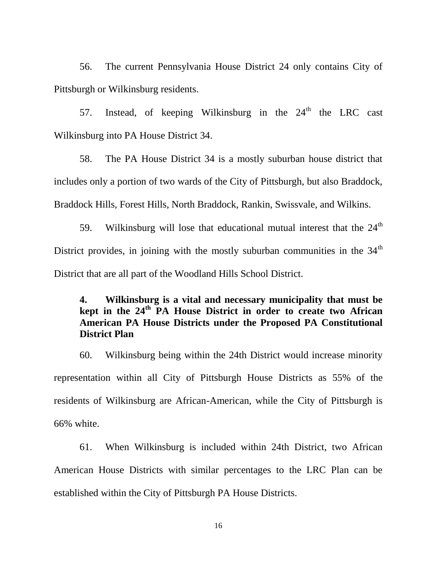56. The current Pennsylvania House District 24 only contains City of Pittsburgh or Wilkinsburg residents.

57. Instead, of keeping Wilkinsburg in the  $24<sup>th</sup>$  the LRC cast Wilkinsburg into PA House District 34.

58. The PA House District 34 is a mostly suburban house district that includes only a portion of two wards of the City of Pittsburgh, but also Braddock, Braddock Hills, Forest Hills, North Braddock, Rankin, Swissvale, and Wilkins.

59. Wilkinsburg will lose that educational mutual interest that the  $24<sup>th</sup>$ District provides, in joining with the mostly suburban communities in the  $34<sup>th</sup>$ District that are all part of the Woodland Hills School District.

# **4. Wilkinsburg is a vital and necessary municipality that must be kept in the 24th PA House District in order to create two African American PA House Districts under the Proposed PA Constitutional District Plan**

60. Wilkinsburg being within the 24th District would increase minority representation within all City of Pittsburgh House Districts as 55% of the residents of Wilkinsburg are African-American, while the City of Pittsburgh is 66% white.

61. When Wilkinsburg is included within 24th District, two African American House Districts with similar percentages to the LRC Plan can be established within the City of Pittsburgh PA House Districts.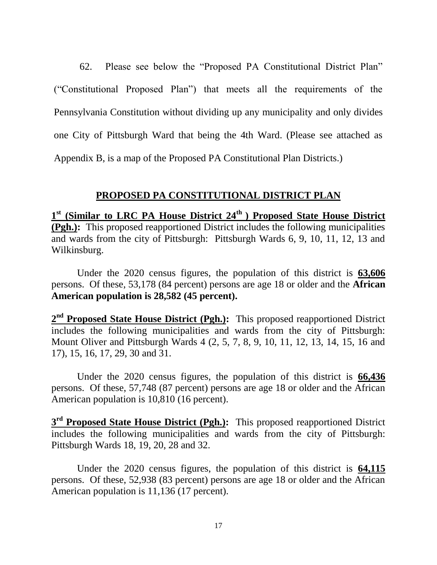62. Please see below the "Proposed PA Constitutional District Plan" ("Constitutional Proposed Plan") that meets all the requirements of the Pennsylvania Constitution without dividing up any municipality and only divides one City of Pittsburgh Ward that being the 4th Ward. (Please see attached as Appendix B, is a map of the Proposed PA Constitutional Plan Districts.)

### **PROPOSED PA CONSTITUTIONAL DISTRICT PLAN**

**1 st (Similar to LRC PA House District 24th ) Proposed State House District (Pgh.):** This proposed reapportioned District includes the following municipalities and wards from the city of Pittsburgh: Pittsburgh Wards 6, 9, 10, 11, 12, 13 and Wilkinsburg.

Under the 2020 census figures, the population of this district is **63,606** persons. Of these, 53,178 (84 percent) persons are age 18 or older and the **African American population is 28,582 (45 percent).**

2<sup>nd</sup> Proposed State House District (Pgh.): This proposed reapportioned District includes the following municipalities and wards from the city of Pittsburgh: Mount Oliver and Pittsburgh Wards 4 (2, 5, 7, 8, 9, 10, 11, 12, 13, 14, 15, 16 and 17), 15, 16, 17, 29, 30 and 31.

Under the 2020 census figures, the population of this district is **66,436** persons. Of these, 57,748 (87 percent) persons are age 18 or older and the African American population is 10,810 (16 percent).

**3<sup>rd</sup> Proposed State House District (Pgh.):** This proposed reapportioned District includes the following municipalities and wards from the city of Pittsburgh: Pittsburgh Wards 18, 19, 20, 28 and 32.

Under the 2020 census figures, the population of this district is **64,115** persons. Of these, 52,938 (83 percent) persons are age 18 or older and the African American population is 11,136 (17 percent).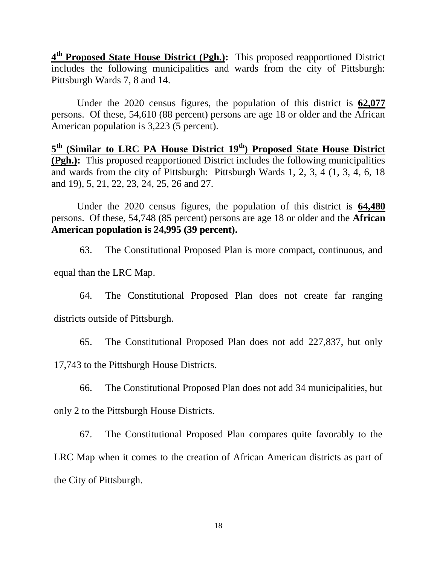4<sup>th</sup> Proposed State House District (Pgh.): This proposed reapportioned District includes the following municipalities and wards from the city of Pittsburgh: Pittsburgh Wards 7, 8 and 14.

Under the 2020 census figures, the population of this district is **62,077** persons. Of these, 54,610 (88 percent) persons are age 18 or older and the African American population is 3,223 (5 percent).

**5 th (Similar to LRC PA House District 19th) Proposed State House District (Pgh.):** This proposed reapportioned District includes the following municipalities and wards from the city of Pittsburgh: Pittsburgh Wards 1, 2, 3, 4 (1, 3, 4, 6, 18 and 19), 5, 21, 22, 23, 24, 25, 26 and 27.

Under the 2020 census figures, the population of this district is **64,480** persons. Of these, 54,748 (85 percent) persons are age 18 or older and the **African American population is 24,995 (39 percent).**

63. The Constitutional Proposed Plan is more compact, continuous, and

equal than the LRC Map.

64. The Constitutional Proposed Plan does not create far ranging districts outside of Pittsburgh.

65. The Constitutional Proposed Plan does not add 227,837, but only

17,743 to the Pittsburgh House Districts.

66. The Constitutional Proposed Plan does not add 34 municipalities, but

only 2 to the Pittsburgh House Districts.

67. The Constitutional Proposed Plan compares quite favorably to the LRC Map when it comes to the creation of African American districts as part of the City of Pittsburgh.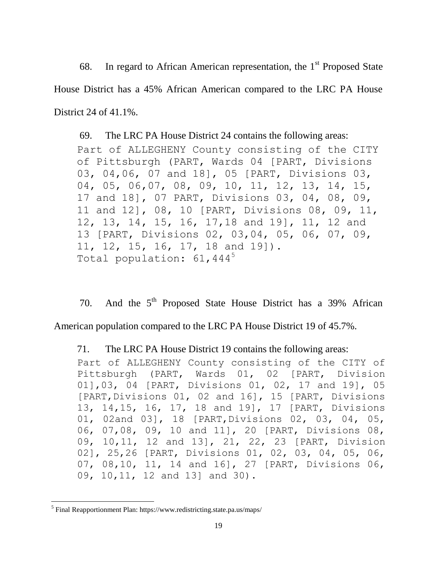68. In regard to African American representation, the  $1<sup>st</sup>$  Proposed State House District has a 45% African American compared to the LRC PA House District 24 of 41.1%.

69. The LRC PA House District 24 contains the following areas: Part of ALLEGHENY County consisting of the CITY of Pittsburgh (PART, Wards 04 [PART, Divisions 03, 04,06, 07 and 18], 05 [PART, Divisions 03, 04, 05, 06,07, 08, 09, 10, 11, 12, 13, 14, 15, 17 and 18], 07 PART, Divisions 03, 04, 08, 09, 11 and 12], 08, 10 [PART, Divisions 08, 09, 11, 12, 13, 14, 15, 16, 17,18 and 19], 11, 12 and 13 [PART, Divisions 02, 03,04, 05, 06, 07, 09, 11, 12, 15, 16, 17, 18 and 19]). Total population:  $61,444^5$ 

70. And the  $5<sup>th</sup>$  Proposed State House District has a 39% African

American population compared to the LRC PA House District 19 of 45.7%.

71. The LRC PA House District 19 contains the following areas:

Part of ALLEGHENY County consisting of the CITY of Pittsburgh (PART, Wards 01, 02 [PART, Division 01],03, 04 [PART, Divisions 01, 02, 17 and 19], 05 [PART,Divisions 01, 02 and 16], 15 [PART, Divisions 13, 14,15, 16, 17, 18 and 19], 17 [PART, Divisions 01, 02and 03], 18 [PART, Divisions 02, 03, 04, 05, 06, 07,08, 09, 10 and 11], 20 [PART, Divisions 08, 09, 10,11, 12 and 13], 21, 22, 23 [PART, Division 02], 25,26 [PART, Divisions 01, 02, 03, 04, 05, 06, 07, 08,10, 11, 14 and 16], 27 [PART, Divisions 06, 09, 10,11, 12 and 13] and 30).

 $\overline{\phantom{a}}$ 

<sup>&</sup>lt;sup>5</sup> Final Reapportionment Plan: https://www.redistricting.state.pa.us/maps/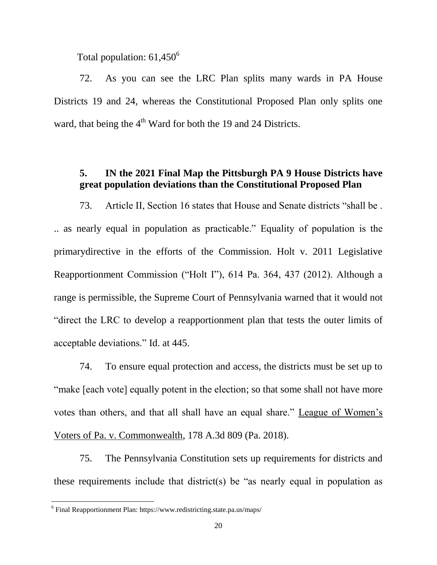Total population:  $61,450^6$ 

72. As you can see the LRC Plan splits many wards in PA House Districts 19 and 24, whereas the Constitutional Proposed Plan only splits one ward, that being the  $4<sup>th</sup>$  Ward for both the 19 and 24 Districts.

## **5. IN the 2021 Final Map the Pittsburgh PA 9 House Districts have great population deviations than the Constitutional Proposed Plan**

73. Article II, Section 16 states that House and Senate districts "shall be . .. as nearly equal in population as practicable." Equality of population is the primarydirective in the efforts of the Commission. Holt v. 2011 Legislative Reapportionment Commission ("Holt I"), 614 Pa. 364, 437 (2012). Although a range is permissible, the Supreme Court of Pennsylvania warned that it would not "direct the LRC to develop a reapportionment plan that tests the outer limits of acceptable deviations." Id. at 445.

74. To ensure equal protection and access, the districts must be set up to "make [each vote] equally potent in the election; so that some shall not have more votes than others, and that all shall have an equal share." League of Women's Voters of Pa. v. Commonwealth, 178 A.3d 809 (Pa. 2018).

75. The Pennsylvania Constitution sets up requirements for districts and these requirements include that district(s) be "as nearly equal in population as

 $\overline{\phantom{a}}$ 

<sup>&</sup>lt;sup>6</sup> Final Reapportionment Plan: https://www.redistricting.state.pa.us/maps/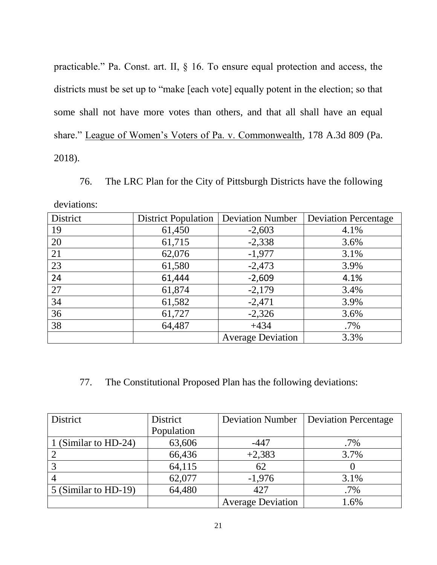practicable." Pa. Const. art. II, § 16. To ensure equal protection and access, the districts must be set up to "make [each vote] equally potent in the election; so that some shall not have more votes than others, and that all shall have an equal share." League of Women's Voters of Pa. v. Commonwealth, 178 A.3d 809 (Pa. 2018).

76. The LRC Plan for the City of Pittsburgh Districts have the following deviations:

| District | <b>District Population</b> | <b>Deviation Number</b>  | <b>Deviation Percentage</b> |
|----------|----------------------------|--------------------------|-----------------------------|
| 19       | 61,450                     | $-2,603$                 | 4.1%                        |
| 20       | 61,715                     | $-2,338$                 | 3.6%                        |
| 21       | 62,076                     | $-1,977$                 | 3.1%                        |
| 23       | 61,580                     | $-2,473$                 | 3.9%                        |
| 24       | 61,444                     | $-2,609$                 | 4.1%                        |
| 27       | 61,874                     | $-2,179$                 | 3.4%                        |
| 34       | 61,582                     | $-2,471$                 | 3.9%                        |
| 36       | 61,727                     | $-2,326$                 | 3.6%                        |
| 38       | 64,487                     | $+434$                   | $.7\%$                      |
|          |                            | <b>Average Deviation</b> | 3.3%                        |

# 77. The Constitutional Proposed Plan has the following deviations:

| District             | District   | <b>Deviation Number</b>  | <b>Deviation Percentage</b> |
|----------------------|------------|--------------------------|-----------------------------|
|                      | Population |                          |                             |
| 1 (Similar to HD-24) | 63,606     | $-447$                   | $.7\%$                      |
|                      | 66,436     | $+2,383$                 | 3.7%                        |
|                      | 64,115     | 62                       |                             |
|                      | 62,077     | $-1,976$                 | 3.1%                        |
| 5 (Similar to HD-19) | 64,480     | 427                      | $.7\%$                      |
|                      |            | <b>Average Deviation</b> | 1.6%                        |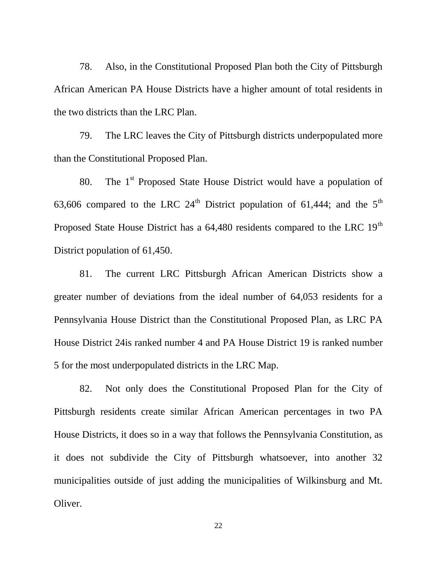78. Also, in the Constitutional Proposed Plan both the City of Pittsburgh African American PA House Districts have a higher amount of total residents in the two districts than the LRC Plan.

79. The LRC leaves the City of Pittsburgh districts underpopulated more than the Constitutional Proposed Plan.

80. The  $1<sup>st</sup>$  Proposed State House District would have a population of 63,606 compared to the LRC  $24<sup>th</sup>$  District population of 61,444; and the  $5<sup>th</sup>$ Proposed State House District has a 64,480 residents compared to the LRC 19<sup>th</sup> District population of 61,450.

81. The current LRC Pittsburgh African American Districts show a greater number of deviations from the ideal number of 64,053 residents for a Pennsylvania House District than the Constitutional Proposed Plan, as LRC PA House District 24is ranked number 4 and PA House District 19 is ranked number 5 for the most underpopulated districts in the LRC Map.

82. Not only does the Constitutional Proposed Plan for the City of Pittsburgh residents create similar African American percentages in two PA House Districts, it does so in a way that follows the Pennsylvania Constitution, as it does not subdivide the City of Pittsburgh whatsoever, into another 32 municipalities outside of just adding the municipalities of Wilkinsburg and Mt. Oliver.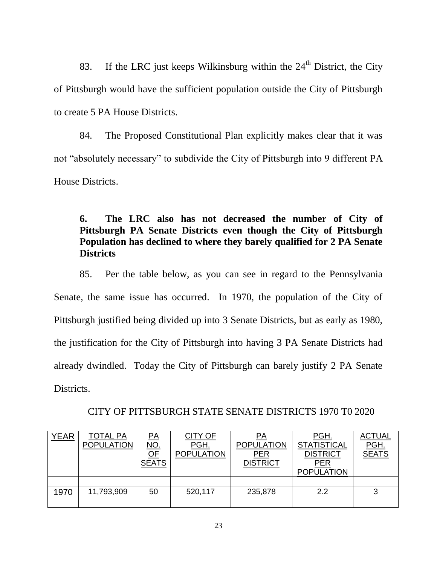83. If the LRC just keeps Wilkinsburg within the  $24<sup>th</sup>$  District, the City of Pittsburgh would have the sufficient population outside the City of Pittsburgh to create 5 PA House Districts.

84. The Proposed Constitutional Plan explicitly makes clear that it was not "absolutely necessary" to subdivide the City of Pittsburgh into 9 different PA House Districts.

# **6. The LRC also has not decreased the number of City of Pittsburgh PA Senate Districts even though the City of Pittsburgh Population has declined to where they barely qualified for 2 PA Senate Districts**

85. Per the table below, as you can see in regard to the Pennsylvania Senate, the same issue has occurred. In 1970, the population of the City of Pittsburgh justified being divided up into 3 Senate Districts, but as early as 1980, the justification for the City of Pittsburgh into having 3 PA Senate Districts had already dwindled. Today the City of Pittsburgh can barely justify 2 PA Senate Districts.

| <b>YEAR</b> | <b>TOTAL PA</b>   | $\overline{PA}$          | CITY OF           | <u>PA</u>         | PGH.               | <b>ACTUAL</b> |
|-------------|-------------------|--------------------------|-------------------|-------------------|--------------------|---------------|
|             | <b>POPULATION</b> | <u>NO.</u>               | PGH.              | <b>POPULATION</b> | <b>STATISTICAL</b> | PGH.          |
|             |                   | $\overline{\mathsf{OF}}$ | <b>POPULATION</b> | <b>PER</b>        | <b>DISTRICT</b>    | <b>SEATS</b>  |
|             |                   | <b>SEATS</b>             |                   | <b>DISTRICT</b>   | <u>PER</u>         |               |
|             |                   |                          |                   |                   | <b>POPULATION</b>  |               |
|             |                   |                          |                   |                   |                    |               |
| 1970        | 11,793,909        | 50                       | 520,117           | 235,878           | 2.2                | د             |
|             |                   |                          |                   |                   |                    |               |

### CITY OF PITTSBURGH STATE SENATE DISTRICTS 1970 T0 2020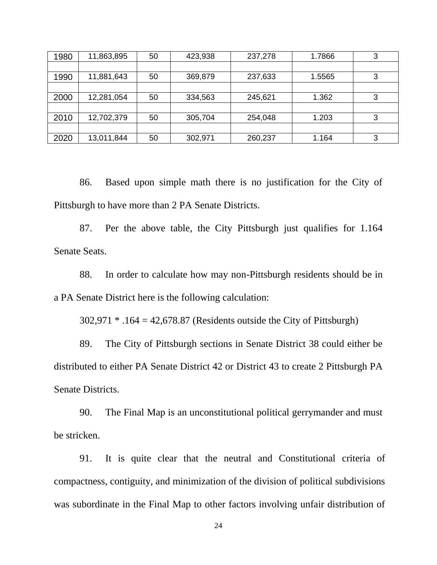| 1980 | 11,863,895 | 50 | 423,938 | 237,278 | 1.7866 | 3 |
|------|------------|----|---------|---------|--------|---|
|      |            |    |         |         |        |   |
| 1990 | 11,881,643 | 50 | 369,879 | 237,633 | 1.5565 | 3 |
|      |            |    |         |         |        |   |
| 2000 | 12,281,054 | 50 | 334,563 | 245,621 | 1.362  | 3 |
|      |            |    |         |         |        |   |
| 2010 | 12,702,379 | 50 | 305,704 | 254,048 | 1.203  | 3 |
|      |            |    |         |         |        |   |
| 2020 | 13,011,844 | 50 | 302,971 | 260,237 | 1.164  | 3 |

86. Based upon simple math there is no justification for the City of Pittsburgh to have more than 2 PA Senate Districts.

87. Per the above table, the City Pittsburgh just qualifies for 1.164 Senate Seats.

88. In order to calculate how may non-Pittsburgh residents should be in a PA Senate District here is the following calculation:

302,971 \* .164 = 42,678.87 (Residents outside the City of Pittsburgh)

89. The City of Pittsburgh sections in Senate District 38 could either be distributed to either PA Senate District 42 or District 43 to create 2 Pittsburgh PA Senate Districts.

90. The Final Map is an unconstitutional political gerrymander and must be stricken.

91. It is quite clear that the neutral and Constitutional criteria of compactness, contiguity, and minimization of the division of political subdivisions was subordinate in the Final Map to other factors involving unfair distribution of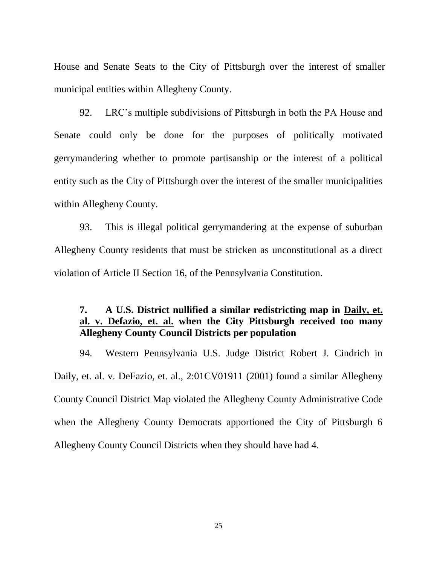House and Senate Seats to the City of Pittsburgh over the interest of smaller municipal entities within Allegheny County.

92. LRC's multiple subdivisions of Pittsburgh in both the PA House and Senate could only be done for the purposes of politically motivated gerrymandering whether to promote partisanship or the interest of a political entity such as the City of Pittsburgh over the interest of the smaller municipalities within Allegheny County.

93. This is illegal political gerrymandering at the expense of suburban Allegheny County residents that must be stricken as unconstitutional as a direct violation of Article II Section 16, of the Pennsylvania Constitution.

# **7. A U.S. District nullified a similar redistricting map in Daily, et. al. v. Defazio, et. al. when the City Pittsburgh received too many Allegheny County Council Districts per population**

94. Western Pennsylvania U.S. Judge District Robert J. Cindrich in Daily, et. al. v. DeFazio, et. al., 2:01CV01911 (2001) found a similar Allegheny County Council District Map violated the Allegheny County Administrative Code when the Allegheny County Democrats apportioned the City of Pittsburgh 6 Allegheny County Council Districts when they should have had 4.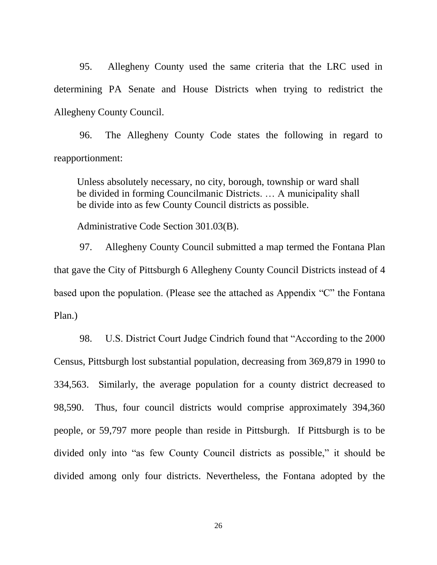95. Allegheny County used the same criteria that the LRC used in determining PA Senate and House Districts when trying to redistrict the Allegheny County Council.

96. The Allegheny County Code states the following in regard to reapportionment:

Unless absolutely necessary, no city, borough, township or ward shall be divided in forming Councilmanic Districts. … A municipality shall be divide into as few County Council districts as possible.

Administrative Code Section 301.03(B).

97. Allegheny County Council submitted a map termed the Fontana Plan that gave the City of Pittsburgh 6 Allegheny County Council Districts instead of 4 based upon the population. (Please see the attached as Appendix "C" the Fontana Plan.)

98. U.S. District Court Judge Cindrich found that "According to the 2000 Census, Pittsburgh lost substantial population, decreasing from 369,879 in 1990 to 334,563. Similarly, the average population for a county district decreased to 98,590. Thus, four council districts would comprise approximately 394,360 people, or 59,797 more people than reside in Pittsburgh. If Pittsburgh is to be divided only into "as few County Council districts as possible," it should be divided among only four districts. Nevertheless, the Fontana adopted by the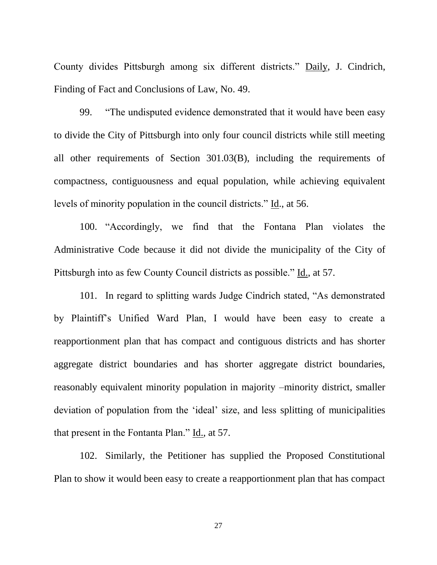County divides Pittsburgh among six different districts." Daily, J. Cindrich, Finding of Fact and Conclusions of Law, No. 49.

99. "The undisputed evidence demonstrated that it would have been easy to divide the City of Pittsburgh into only four council districts while still meeting all other requirements of Section 301.03(B), including the requirements of compactness, contiguousness and equal population, while achieving equivalent levels of minority population in the council districts." Id., at 56.

100. "Accordingly, we find that the Fontana Plan violates the Administrative Code because it did not divide the municipality of the City of Pittsburgh into as few County Council districts as possible." Id., at 57.

101. In regard to splitting wards Judge Cindrich stated, "As demonstrated by Plaintiff's Unified Ward Plan, I would have been easy to create a reapportionment plan that has compact and contiguous districts and has shorter aggregate district boundaries and has shorter aggregate district boundaries, reasonably equivalent minority population in majority –minority district, smaller deviation of population from the 'ideal' size, and less splitting of municipalities that present in the Fontanta Plan." Id., at 57.

102. Similarly, the Petitioner has supplied the Proposed Constitutional Plan to show it would been easy to create a reapportionment plan that has compact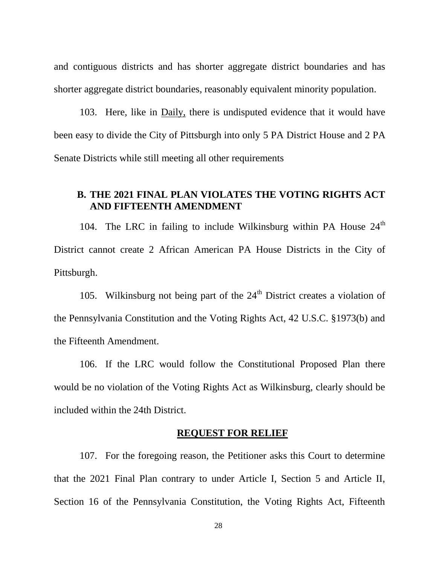and contiguous districts and has shorter aggregate district boundaries and has shorter aggregate district boundaries, reasonably equivalent minority population.

103. Here, like in Daily, there is undisputed evidence that it would have been easy to divide the City of Pittsburgh into only 5 PA District House and 2 PA Senate Districts while still meeting all other requirements

## **B. THE 2021 FINAL PLAN VIOLATES THE VOTING RIGHTS ACT AND FIFTEENTH AMENDMENT**

104. The LRC in failing to include Wilkinsburg within PA House  $24<sup>th</sup>$ District cannot create 2 African American PA House Districts in the City of Pittsburgh.

105. Wilkinsburg not being part of the  $24<sup>th</sup>$  District creates a violation of the Pennsylvania Constitution and the Voting Rights Act, 42 U.S.C. §1973(b) and the Fifteenth Amendment.

106. If the LRC would follow the Constitutional Proposed Plan there would be no violation of the Voting Rights Act as Wilkinsburg, clearly should be included within the 24th District.

## **REQUEST FOR RELIEF**

107. For the foregoing reason, the Petitioner asks this Court to determine that the 2021 Final Plan contrary to under Article I, Section 5 and Article II, Section 16 of the Pennsylvania Constitution, the Voting Rights Act, Fifteenth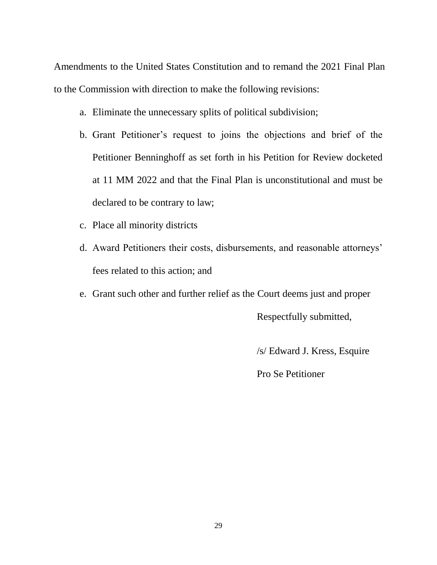Amendments to the United States Constitution and to remand the 2021 Final Plan to the Commission with direction to make the following revisions:

- a. Eliminate the unnecessary splits of political subdivision;
- b. Grant Petitioner's request to joins the objections and brief of the Petitioner Benninghoff as set forth in his Petition for Review docketed at 11 MM 2022 and that the Final Plan is unconstitutional and must be declared to be contrary to law;
- c. Place all minority districts
- d. Award Petitioners their costs, disbursements, and reasonable attorneys' fees related to this action; and
- e. Grant such other and further relief as the Court deems just and proper

Respectfully submitted,

/s/ Edward J. Kress, Esquire

Pro Se Petitioner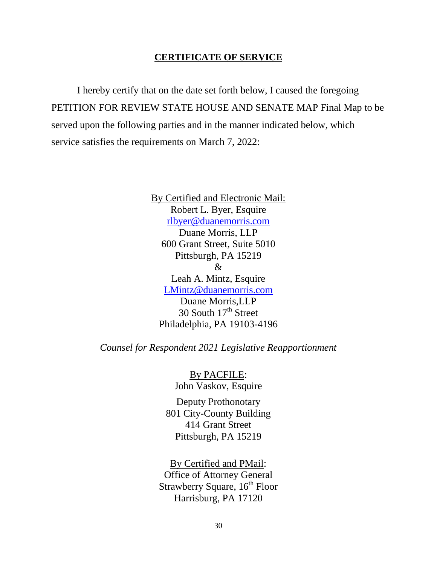### **CERTIFICATE OF SERVICE**

I hereby certify that on the date set forth below, I caused the foregoing PETITION FOR REVIEW STATE HOUSE AND SENATE MAP Final Map to be served upon the following parties and in the manner indicated below, which service satisfies the requirements on March 7, 2022:

> By Certified and Electronic Mail: Robert L. Byer, Esquire [rlbyer@duanemorris.com](mailto:rlbyer@duanemorris.com) Duane Morris, LLP 600 Grant Street, Suite 5010 Pittsburgh, PA 15219 & Leah A. Mintz, Esquire [LMintz@duanemorris.com](mailto:LMintz@duanemorris.com) Duane Morris,LLP 30 South 17<sup>th</sup> Street Philadelphia, PA 19103-4196

*Counsel for Respondent 2021 Legislative Reapportionment*

By PACFILE: John Vaskov, Esquire

Deputy Prothonotary 801 City-County Building 414 Grant Street Pittsburgh, PA 15219

By Certified and PMail: Office of Attorney General Strawberry Square, 16<sup>th</sup> Floor Harrisburg, PA 17120